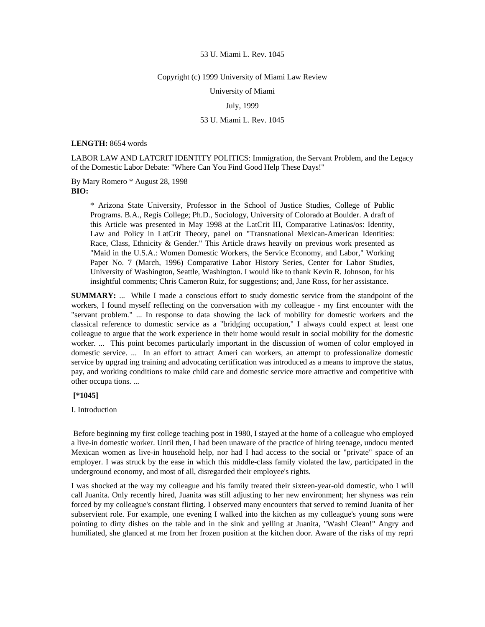#### Copyright (c) 1999 University of Miami Law Review

University of Miami

## July, 1999

# 53 U. Miami L. Rev. 1045

## **LENGTH:** 8654 words

LABOR LAW AND LATCRIT IDENTITY POLITICS: Immigration, the Servant Problem, and the Legacy of the Domestic Labor Debate: "Where Can You Find Good Help These Days!"

By Mary Romero \* August 28, 1998 **BIO:** 

> \* Arizona State University, Professor in the School of Justice Studies, College of Public Programs. B.A., Regis College; Ph.D., Sociology, University of Colorado at Boulder. A draft of this Article was presented in May 1998 at the LatCrit III, Comparative Latinas/os: Identity, Law and Policy in LatCrit Theory, panel on "Transnational Mexican-American Identities: Race, Class, Ethnicity & Gender." This Article draws heavily on previous work presented as "Maid in the U.S.A.: Women Domestic Workers, the Service Economy, and Labor," Working Paper No. 7 (March, 1996) Comparative Labor History Series, Center for Labor Studies, University of Washington, Seattle, Washington. I would like to thank Kevin R. Johnson, for his insightful comments; Chris Cameron Ruiz, for suggestions; and, Jane Ross, for her assistance.

**SUMMARY:** ... While I made a conscious effort to study domestic service from the standpoint of the workers, I found myself reflecting on the conversation with my colleague - my first encounter with the "servant problem." ... In response to data showing the lack of mobility for domestic workers and the classical reference to domestic service as a "bridging occupation," I always could expect at least one colleague to argue that the work experience in their home would result in social mobility for the domestic worker. ... This point becomes particularly important in the discussion of women of color employed in domestic service. ... In an effort to attract Ameri can workers, an attempt to professionalize domestic service by upgrad ing training and advocating certification was introduced as a means to improve the status, pay, and working conditions to make child care and domestic service more attractive and competitive with other occupa tions. ...

## **[\*1045]**

I. Introduction

 Before beginning my first college teaching post in 1980, I stayed at the home of a colleague who employed a live-in domestic worker. Until then, I had been unaware of the practice of hiring teenage, undocu mented Mexican women as live-in household help, nor had I had access to the social or "private" space of an employer. I was struck by the ease in which this middle-class family violated the law, participated in the underground economy, and most of all, disregarded their employee's rights.

I was shocked at the way my colleague and his family treated their sixteen-year-old domestic, who I will call Juanita. Only recently hired, Juanita was still adjusting to her new environment; her shyness was rein forced by my colleague's constant flirting. I observed many encounters that served to remind Juanita of her subservient role. For example, one evening I walked into the kitchen as my colleague's young sons were pointing to dirty dishes on the table and in the sink and yelling at Juanita, "Wash! Clean!" Angry and humiliated, she glanced at me from her frozen position at the kitchen door. Aware of the risks of my repri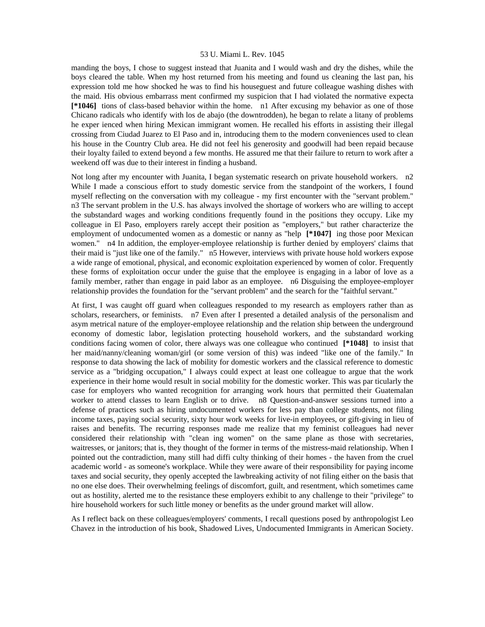manding the boys, I chose to suggest instead that Juanita and I would wash and dry the dishes, while the boys cleared the table. When my host returned from his meeting and found us cleaning the last pan, his expression told me how shocked he was to find his houseguest and future colleague washing dishes with the maid. His obvious embarrass ment confirmed my suspicion that I had violated the normative expecta **[\*1046]** tions of class-based behavior within the home. n1 After excusing my behavior as one of those Chicano radicals who identify with los de abajo (the downtrodden), he began to relate a litany of problems he exper ienced when hiring Mexican immigrant women. He recalled his efforts in assisting their illegal crossing from Ciudad Juarez to El Paso and in, introducing them to the modern conveniences used to clean his house in the Country Club area. He did not feel his generosity and goodwill had been repaid because their loyalty failed to extend beyond a few months. He assured me that their failure to return to work after a weekend off was due to their interest in finding a husband.

Not long after my encounter with Juanita, I began systematic research on private household workers. n2 While I made a conscious effort to study domestic service from the standpoint of the workers, I found myself reflecting on the conversation with my colleague - my first encounter with the "servant problem." n3 The servant problem in the U.S. has always involved the shortage of workers who are willing to accept the substandard wages and working conditions frequently found in the positions they occupy. Like my colleague in El Paso, employers rarely accept their position as "employers," but rather characterize the employment of undocumented women as a domestic or nanny as "help **[\*1047]** ing those poor Mexican women." n4 In addition, the employer-employee relationship is further denied by employers' claims that their maid is "just like one of the family." n5 However, interviews with private house hold workers expose a wide range of emotional, physical, and economic exploitation experienced by women of color. Frequently these forms of exploitation occur under the guise that the employee is engaging in a labor of love as a family member, rather than engage in paid labor as an employee. n6 Disguising the employee-employer relationship provides the foundation for the "servant problem" and the search for the "faithful servant."

At first, I was caught off guard when colleagues responded to my research as employers rather than as scholars, researchers, or feminists. n7 Even after I presented a detailed analysis of the personalism and asym metrical nature of the employer-employee relationship and the relation ship between the underground economy of domestic labor, legislation protecting household workers, and the substandard working conditions facing women of color, there always was one colleague who continued **[\*1048]** to insist that her maid/nanny/cleaning woman/girl (or some version of this) was indeed "like one of the family." In response to data showing the lack of mobility for domestic workers and the classical reference to domestic service as a "bridging occupation," I always could expect at least one colleague to argue that the work experience in their home would result in social mobility for the domestic worker. This was par ticularly the case for employers who wanted recognition for arranging work hours that permitted their Guatemalan worker to attend classes to learn English or to drive. n8 Question-and-answer sessions turned into a defense of practices such as hiring undocumented workers for less pay than college students, not filing income taxes, paying social security, sixty hour work weeks for live-in employees, or gift-giving in lieu of raises and benefits. The recurring responses made me realize that my feminist colleagues had never considered their relationship with "clean ing women" on the same plane as those with secretaries, waitresses, or janitors; that is, they thought of the former in terms of the mistress-maid relationship. When I pointed out the contradiction, many still had diffi culty thinking of their homes - the haven from the cruel academic world - as someone's workplace. While they were aware of their responsibility for paying income taxes and social security, they openly accepted the lawbreaking activity of not filing either on the basis that no one else does. Their overwhelming feelings of discomfort, guilt, and resentment, which sometimes came out as hostility, alerted me to the resistance these employers exhibit to any challenge to their "privilege" to hire household workers for such little money or benefits as the under ground market will allow.

As I reflect back on these colleagues/employers' comments, I recall questions posed by anthropologist Leo Chavez in the introduction of his book, Shadowed Lives, Undocumented Immigrants in American Society.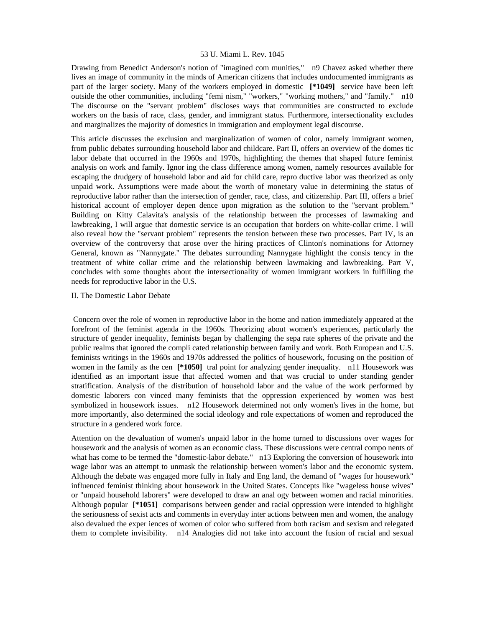Drawing from Benedict Anderson's notion of "imagined com munities," n9 Chavez asked whether there lives an image of community in the minds of American citizens that includes undocumented immigrants as part of the larger society. Many of the workers employed in domestic **[\*1049]** service have been left outside the other communities, including "femi nism," "workers," "working mothers," and "family." n10 The discourse on the "servant problem" discloses ways that communities are constructed to exclude workers on the basis of race, class, gender, and immigrant status. Furthermore, intersectionality excludes and marginalizes the majority of domestics in immigration and employment legal discourse.

This article discusses the exclusion and marginalization of women of color, namely immigrant women, from public debates surrounding household labor and childcare. Part II, offers an overview of the domes tic labor debate that occurred in the 1960s and 1970s, highlighting the themes that shaped future feminist analysis on work and family. Ignor ing the class difference among women, namely resources available for escaping the drudgery of household labor and aid for child care, repro ductive labor was theorized as only unpaid work. Assumptions were made about the worth of monetary value in determining the status of reproductive labor rather than the intersection of gender, race, class, and citizenship. Part III, offers a brief historical account of employer depen dence upon migration as the solution to the "servant problem." Building on Kitty Calavita's analysis of the relationship between the processes of lawmaking and lawbreaking, I will argue that domestic service is an occupation that borders on white-collar crime. I will also reveal how the "servant problem" represents the tension between these two processes. Part IV, is an overview of the controversy that arose over the hiring practices of Clinton's nominations for Attorney General, known as "Nannygate." The debates surrounding Nannygate highlight the consis tency in the treatment of white collar crime and the relationship between lawmaking and lawbreaking. Part V, concludes with some thoughts about the intersectionality of women immigrant workers in fulfilling the needs for reproductive labor in the U.S.

# II. The Domestic Labor Debate

 Concern over the role of women in reproductive labor in the home and nation immediately appeared at the forefront of the feminist agenda in the 1960s. Theorizing about women's experiences, particularly the structure of gender inequality, feminists began by challenging the sepa rate spheres of the private and the public realms that ignored the compli cated relationship between family and work. Both European and U.S. feminists writings in the 1960s and 1970s addressed the politics of housework, focusing on the position of women in the family as the cen **[\*1050]** tral point for analyzing gender inequality. n11 Housework was identified as an important issue that affected women and that was crucial to under standing gender stratification. Analysis of the distribution of household labor and the value of the work performed by domestic laborers con vinced many feminists that the oppression experienced by women was best symbolized in housework issues. n12 Housework determined not only women's lives in the home, but more importantly, also determined the social ideology and role expectations of women and reproduced the structure in a gendered work force.

Attention on the devaluation of women's unpaid labor in the home turned to discussions over wages for housework and the analysis of women as an economic class. These discussions were central compo nents of what has come to be termed the "domestic-labor debate." n13 Exploring the conversion of housework into wage labor was an attempt to unmask the relationship between women's labor and the economic system. Although the debate was engaged more fully in Italy and Eng land, the demand of "wages for housework" influenced feminist thinking about housework in the United States. Concepts like "wageless house wives" or "unpaid household laborers" were developed to draw an anal ogy between women and racial minorities. Although popular **[\*1051]** comparisons between gender and racial oppression were intended to highlight the seriousness of sexist acts and comments in everyday inter actions between men and women, the analogy also devalued the exper iences of women of color who suffered from both racism and sexism and relegated them to complete invisibility. n14 Analogies did not take into account the fusion of racial and sexual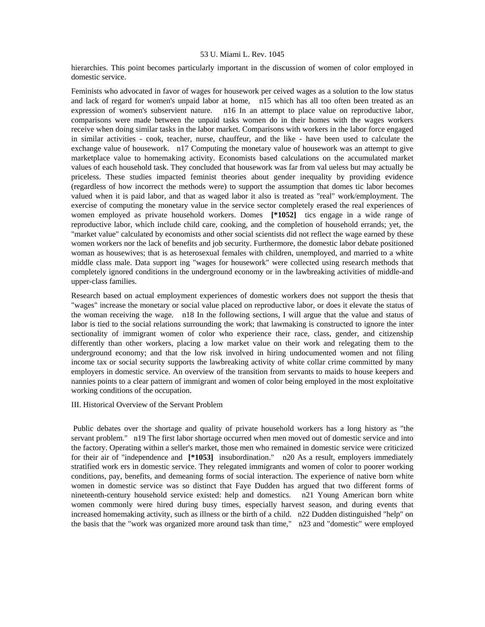hierarchies. This point becomes particularly important in the discussion of women of color employed in domestic service.

Feminists who advocated in favor of wages for housework per ceived wages as a solution to the low status and lack of regard for women's unpaid labor at home, n15 which has all too often been treated as an expression of women's subservient nature. n16 In an attempt to place value on reproductive labor, comparisons were made between the unpaid tasks women do in their homes with the wages workers receive when doing similar tasks in the labor market. Comparisons with workers in the labor force engaged in similar activities - cook, teacher, nurse, chauffeur, and the like - have been used to calculate the exchange value of housework. n17 Computing the monetary value of housework was an attempt to give marketplace value to homemaking activity. Economists based calculations on the accumulated market values of each household task. They concluded that housework was far from val ueless but may actually be priceless. These studies impacted feminist theories about gender inequality by providing evidence (regardless of how incorrect the methods were) to support the assumption that domes tic labor becomes valued when it is paid labor, and that as waged labor it also is treated as "real" work/employment. The exercise of computing the monetary value in the service sector completely erased the real experiences of women employed as private household workers. Domes **[\*1052]** tics engage in a wide range of reproductive labor, which include child care, cooking, and the completion of household errands; yet, the "market value" calculated by economists and other social scientists did not reflect the wage earned by these women workers nor the lack of benefits and job security. Furthermore, the domestic labor debate positioned woman as housewives; that is as heterosexual females with children, unemployed, and married to a white middle class male. Data support ing "wages for housework" were collected using research methods that completely ignored conditions in the underground economy or in the lawbreaking activities of middle-and upper-class families.

Research based on actual employment experiences of domestic workers does not support the thesis that "wages" increase the monetary or social value placed on reproductive labor, or does it elevate the status of the woman receiving the wage. n18 In the following sections, I will argue that the value and status of labor is tied to the social relations surrounding the work; that lawmaking is constructed to ignore the inter sectionality of immigrant women of color who experience their race, class, gender, and citizenship differently than other workers, placing a low market value on their work and relegating them to the underground economy; and that the low risk involved in hiring undocumented women and not filing income tax or social security supports the lawbreaking activity of white collar crime committed by many employers in domestic service. An overview of the transition from servants to maids to house keepers and nannies points to a clear pattern of immigrant and women of color being employed in the most exploitative working conditions of the occupation.

III. Historical Overview of the Servant Problem

 Public debates over the shortage and quality of private household workers has a long history as "the servant problem." n19 The first labor shortage occurred when men moved out of domestic service and into the factory. Operating within a seller's market, those men who remained in domestic service were criticized for their air of "independence and **[\*1053]** insubordination." n20 As a result, employers immediately stratified work ers in domestic service. They relegated immigrants and women of color to poorer working conditions, pay, benefits, and demeaning forms of social interaction. The experience of native born white women in domestic service was so distinct that Faye Dudden has argued that two different forms of nineteenth-century household service existed: help and domestics. n21 Young American born white women commonly were hired during busy times, especially harvest season, and during events that increased homemaking activity, such as illness or the birth of a child. n22 Dudden distinguished "help" on the basis that the "work was organized more around task than time," n23 and "domestic" were employed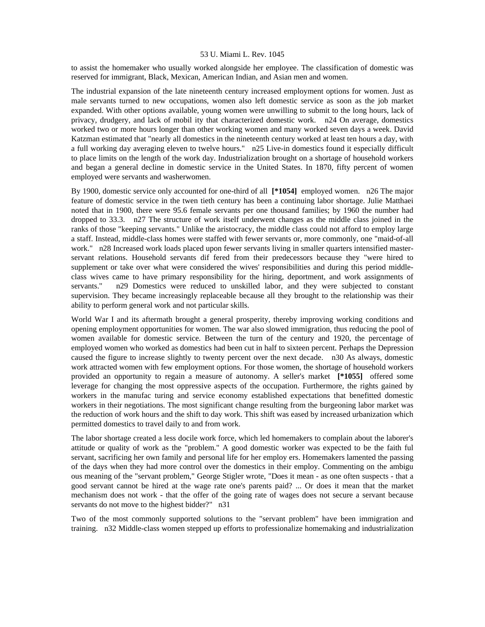to assist the homemaker who usually worked alongside her employee. The classification of domestic was reserved for immigrant, Black, Mexican, American Indian, and Asian men and women.

The industrial expansion of the late nineteenth century increased employment options for women. Just as male servants turned to new occupations, women also left domestic service as soon as the job market expanded. With other options available, young women were unwilling to submit to the long hours, lack of privacy, drudgery, and lack of mobil ity that characterized domestic work. n24 On average, domestics worked two or more hours longer than other working women and many worked seven days a week. David Katzman estimated that "nearly all domestics in the nineteenth century worked at least ten hours a day, with a full working day averaging eleven to twelve hours." n25 Live-in domestics found it especially difficult to place limits on the length of the work day. Industrialization brought on a shortage of household workers and began a general decline in domestic service in the United States. In 1870, fifty percent of women employed were servants and washerwomen.

By 1900, domestic service only accounted for one-third of all **[\*1054]** employed women. n26 The major feature of domestic service in the twen tieth century has been a continuing labor shortage. Julie Matthaei noted that in 1900, there were 95.6 female servants per one thousand families; by 1960 the number had dropped to 33.3. n27 The structure of work itself underwent changes as the middle class joined in the ranks of those "keeping servants." Unlike the aristocracy, the middle class could not afford to employ large a staff. Instead, middle-class homes were staffed with fewer servants or, more commonly, one "maid-of-all work." n28 Increased work loads placed upon fewer servants living in smaller quarters intensified masterservant relations. Household servants dif fered from their predecessors because they "were hired to supplement or take over what were considered the wives' responsibilities and during this period middleclass wives came to have primary responsibility for the hiring, deportment, and work assignments of servants." n29 Domestics were reduced to unskilled labor, and they were subjected to constant supervision. They became increasingly replaceable because all they brought to the relationship was their ability to perform general work and not particular skills.

World War I and its aftermath brought a general prosperity, thereby improving working conditions and opening employment opportunities for women. The war also slowed immigration, thus reducing the pool of women available for domestic service. Between the turn of the century and 1920, the percentage of employed women who worked as domestics had been cut in half to sixteen percent. Perhaps the Depression caused the figure to increase slightly to twenty percent over the next decade. n30 As always, domestic work attracted women with few employment options. For those women, the shortage of household workers provided an opportunity to regain a measure of autonomy. A seller's market **[\*1055]** offered some leverage for changing the most oppressive aspects of the occupation. Furthermore, the rights gained by workers in the manufac turing and service economy established expectations that benefitted domestic workers in their negotiations. The most significant change resulting from the burgeoning labor market was the reduction of work hours and the shift to day work. This shift was eased by increased urbanization which permitted domestics to travel daily to and from work.

The labor shortage created a less docile work force, which led homemakers to complain about the laborer's attitude or quality of work as the "problem." A good domestic worker was expected to be the faith ful servant, sacrificing her own family and personal life for her employ ers. Homemakers lamented the passing of the days when they had more control over the domestics in their employ. Commenting on the ambigu ous meaning of the "servant problem," George Stigler wrote, "Does it mean - as one often suspects - that a good servant cannot be hired at the wage rate one's parents paid? ... Or does it mean that the market mechanism does not work - that the offer of the going rate of wages does not secure a servant because servants do not move to the highest bidder?" n31

Two of the most commonly supported solutions to the "servant problem" have been immigration and training. n32 Middle-class women stepped up efforts to professionalize homemaking and industrialization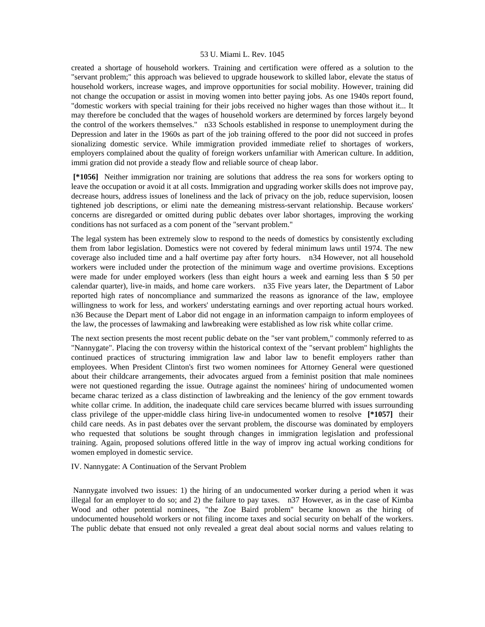created a shortage of household workers. Training and certification were offered as a solution to the "servant problem;" this approach was believed to upgrade housework to skilled labor, elevate the status of household workers, increase wages, and improve opportunities for social mobility. However, training did not change the occupation or assist in moving women into better paying jobs. As one 1940s report found, "domestic workers with special training for their jobs received no higher wages than those without it... It may therefore be concluded that the wages of household workers are determined by forces largely beyond the control of the workers themselves." n33 Schools established in response to unemployment during the Depression and later in the 1960s as part of the job training offered to the poor did not succeed in profes sionalizing domestic service. While immigration provided immediate relief to shortages of workers, employers complained about the quality of foreign workers unfamiliar with American culture. In addition, immi gration did not provide a steady flow and reliable source of cheap labor.

 **[\*1056]** Neither immigration nor training are solutions that address the rea sons for workers opting to leave the occupation or avoid it at all costs. Immigration and upgrading worker skills does not improve pay, decrease hours, address issues of loneliness and the lack of privacy on the job, reduce supervision, loosen tightened job descriptions, or elimi nate the demeaning mistress-servant relationship. Because workers' concerns are disregarded or omitted during public debates over labor shortages, improving the working conditions has not surfaced as a com ponent of the "servant problem."

The legal system has been extremely slow to respond to the needs of domestics by consistently excluding them from labor legislation. Domestics were not covered by federal minimum laws until 1974. The new coverage also included time and a half overtime pay after forty hours. n34 However, not all household workers were included under the protection of the minimum wage and overtime provisions. Exceptions were made for under employed workers (less than eight hours a week and earning less than \$ 50 per calendar quarter), live-in maids, and home care workers. n35 Five years later, the Department of Labor reported high rates of noncompliance and summarized the reasons as ignorance of the law, employee willingness to work for less, and workers' understating earnings and over reporting actual hours worked. n36 Because the Depart ment of Labor did not engage in an information campaign to inform employees of the law, the processes of lawmaking and lawbreaking were established as low risk white collar crime.

The next section presents the most recent public debate on the "ser vant problem," commonly referred to as "Nannygate". Placing the con troversy within the historical context of the "servant problem" highlights the continued practices of structuring immigration law and labor law to benefit employers rather than employees. When President Clinton's first two women nominees for Attorney General were questioned about their childcare arrangements, their advocates argued from a feminist position that male nominees were not questioned regarding the issue. Outrage against the nominees' hiring of undocumented women became charac terized as a class distinction of lawbreaking and the leniency of the gov ernment towards white collar crime. In addition, the inadequate child care services became blurred with issues surrounding class privilege of the upper-middle class hiring live-in undocumented women to resolve **[\*1057]** their child care needs. As in past debates over the servant problem, the discourse was dominated by employers who requested that solutions be sought through changes in immigration legislation and professional training. Again, proposed solutions offered little in the way of improv ing actual working conditions for women employed in domestic service.

## IV. Nannygate: A Continuation of the Servant Problem

 Nannygate involved two issues: 1) the hiring of an undocumented worker during a period when it was illegal for an employer to do so; and 2) the failure to pay taxes. n37 However, as in the case of Kimba Wood and other potential nominees, "the Zoe Baird problem" became known as the hiring of undocumented household workers or not filing income taxes and social security on behalf of the workers. The public debate that ensued not only revealed a great deal about social norms and values relating to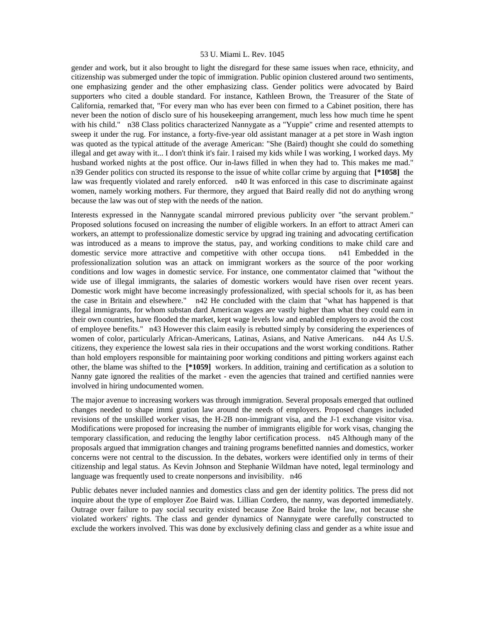gender and work, but it also brought to light the disregard for these same issues when race, ethnicity, and citizenship was submerged under the topic of immigration. Public opinion clustered around two sentiments, one emphasizing gender and the other emphasizing class. Gender politics were advocated by Baird supporters who cited a double standard. For instance, Kathleen Brown, the Treasurer of the State of California, remarked that, "For every man who has ever been con firmed to a Cabinet position, there has never been the notion of disclo sure of his housekeeping arrangement, much less how much time he spent with his child." n38 Class politics characterized Nannygate as a "Yuppie" crime and resented attempts to sweep it under the rug. For instance, a forty-five-year old assistant manager at a pet store in Wash ington was quoted as the typical attitude of the average American: "She (Baird) thought she could do something illegal and get away with it... I don't think it's fair. I raised my kids while I was working, I worked days. My husband worked nights at the post office. Our in-laws filled in when they had to. This makes me mad." n39 Gender politics con structed its response to the issue of white collar crime by arguing that **[\*1058]** the law was frequently violated and rarely enforced. n40 It was enforced in this case to discriminate against women, namely working mothers. Fur thermore, they argued that Baird really did not do anything wrong because the law was out of step with the needs of the nation.

Interests expressed in the Nannygate scandal mirrored previous publicity over "the servant problem." Proposed solutions focused on increasing the number of eligible workers. In an effort to attract Ameri can workers, an attempt to professionalize domestic service by upgrad ing training and advocating certification was introduced as a means to improve the status, pay, and working conditions to make child care and domestic service more attractive and competitive with other occupa tions. n41 Embedded in the professionalization solution was an attack on immigrant workers as the source of the poor working conditions and low wages in domestic service. For instance, one commentator claimed that "without the wide use of illegal immigrants, the salaries of domestic workers would have risen over recent years. Domestic work might have become increasingly professionalized, with special schools for it, as has been the case in Britain and elsewhere." n42 He concluded with the claim that "what has happened is that illegal immigrants, for whom substan dard American wages are vastly higher than what they could earn in their own countries, have flooded the market, kept wage levels low and enabled employers to avoid the cost of employee benefits." n43 However this claim easily is rebutted simply by considering the experiences of women of color, particularly African-Americans, Latinas, Asians, and Native Americans. n44 As U.S. citizens, they experience the lowest sala ries in their occupations and the worst working conditions. Rather than hold employers responsible for maintaining poor working conditions and pitting workers against each other, the blame was shifted to the **[\*1059]** workers. In addition, training and certification as a solution to Nanny gate ignored the realities of the market - even the agencies that trained and certified nannies were involved in hiring undocumented women.

The major avenue to increasing workers was through immigration. Several proposals emerged that outlined changes needed to shape immi gration law around the needs of employers. Proposed changes included revisions of the unskilled worker visas, the H-2B non-immigrant visa, and the J-1 exchange visitor visa. Modifications were proposed for increasing the number of immigrants eligible for work visas, changing the temporary classification, and reducing the lengthy labor certification process. n45 Although many of the proposals argued that immigration changes and training programs benefitted nannies and domestics, worker concerns were not central to the discussion. In the debates, workers were identified only in terms of their citizenship and legal status. As Kevin Johnson and Stephanie Wildman have noted, legal terminology and language was frequently used to create nonpersons and invisibility. n46

Public debates never included nannies and domestics class and gen der identity politics. The press did not inquire about the type of employer Zoe Baird was. Lillian Cordero, the nanny, was deported immediately. Outrage over failure to pay social security existed because Zoe Baird broke the law, not because she violated workers' rights. The class and gender dynamics of Nannygate were carefully constructed to exclude the workers involved. This was done by exclusively defining class and gender as a white issue and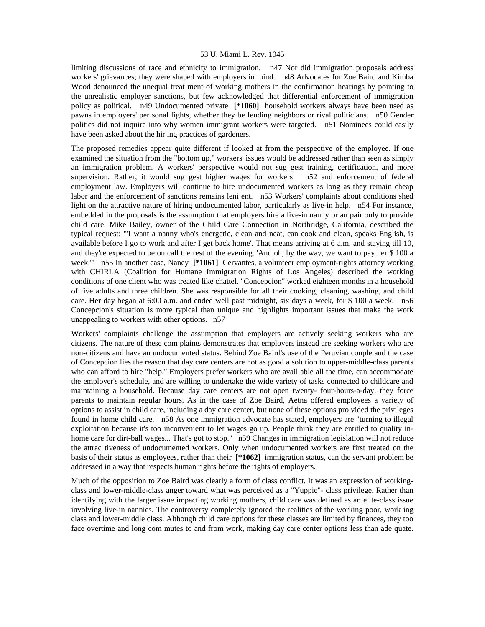limiting discussions of race and ethnicity to immigration. n47 Nor did immigration proposals address workers' grievances; they were shaped with employers in mind. n48 Advocates for Zoe Baird and Kimba Wood denounced the unequal treat ment of working mothers in the confirmation hearings by pointing to the unrealistic employer sanctions, but few acknowledged that differential enforcement of immigration policy as political. n49 Undocumented private **[\*1060]** household workers always have been used as pawns in employers' per sonal fights, whether they be feuding neighbors or rival politicians. n50 Gender politics did not inquire into why women immigrant workers were targeted. n51 Nominees could easily have been asked about the hir ing practices of gardeners.

The proposed remedies appear quite different if looked at from the perspective of the employee. If one examined the situation from the "bottom up," workers' issues would be addressed rather than seen as simply an immigration problem. A workers' perspective would not sug gest training, certification, and more supervision. Rather, it would sug gest higher wages for workers n52 and enforcement of federal employment law. Employers will continue to hire undocumented workers as long as they remain cheap labor and the enforcement of sanctions remains leni ent. n53 Workers' complaints about conditions shed light on the attractive nature of hiring undocumented labor, particularly as live-in help. n54 For instance, embedded in the proposals is the assumption that employers hire a live-in nanny or au pair only to provide child care. Mike Bailey, owner of the Child Care Connection in Northridge, California, described the typical request: "'I want a nanny who's energetic, clean and neat, can cook and clean, speaks English, is available before I go to work and after I get back home'. That means arriving at 6 a.m. and staying till 10, and they're expected to be on call the rest of the evening. 'And oh, by the way, we want to pay her \$ 100 a week.'" n55 In another case, Nancy **[\*1061]** Cervantes, a volunteer employment-rights attorney working with CHIRLA (Coalition for Humane Immigration Rights of Los Angeles) described the working conditions of one client who was treated like chattel. "Concepcion" worked eighteen months in a household of five adults and three children. She was responsible for all their cooking, cleaning, washing, and child care. Her day began at 6:00 a.m. and ended well past midnight, six days a week, for \$ 100 a week. n56 Concepcion's situation is more typical than unique and highlights important issues that make the work unappealing to workers with other options. n57

Workers' complaints challenge the assumption that employers are actively seeking workers who are citizens. The nature of these com plaints demonstrates that employers instead are seeking workers who are non-citizens and have an undocumented status. Behind Zoe Baird's use of the Peruvian couple and the case of Concepcion lies the reason that day care centers are not as good a solution to upper-middle-class parents who can afford to hire "help." Employers prefer workers who are avail able all the time, can accommodate the employer's schedule, and are willing to undertake the wide variety of tasks connected to childcare and maintaining a household. Because day care centers are not open twenty- four-hours-a-day, they force parents to maintain regular hours. As in the case of Zoe Baird, Aetna offered employees a variety of options to assist in child care, including a day care center, but none of these options pro vided the privileges found in home child care. n58 As one immigration advocate has stated, employers are "turning to illegal exploitation because it's too inconvenient to let wages go up. People think they are entitled to quality inhome care for dirt-ball wages... That's got to stop." n59 Changes in immigration legislation will not reduce the attrac tiveness of undocumented workers. Only when undocumented workers are first treated on the basis of their status as employees, rather than their **[\*1062]** immigration status, can the servant problem be addressed in a way that respects human rights before the rights of employers.

Much of the opposition to Zoe Baird was clearly a form of class conflict. It was an expression of workingclass and lower-middle-class anger toward what was perceived as a "Yuppie"- class privilege. Rather than identifying with the larger issue impacting working mothers, child care was defined as an elite-class issue involving live-in nannies. The controversy completely ignored the realities of the working poor, work ing class and lower-middle class. Although child care options for these classes are limited by finances, they too face overtime and long com mutes to and from work, making day care center options less than ade quate.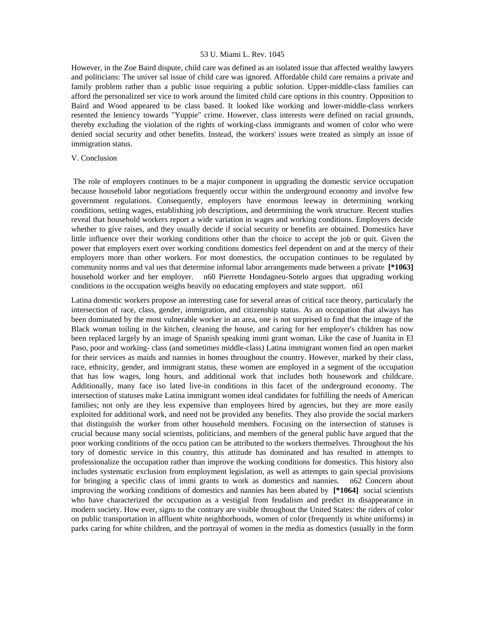However, in the Zoe Baird dispute, child care was defined as an isolated issue that affected wealthy lawyers and politicians: The univer sal issue of child care was ignored. Affordable child care remains a private and family problem rather than a public issue requiring a public solution. Upper-middle-class families can afford the personalized ser vice to work around the limited child care options in this country. Opposition to Baird and Wood appeared to be class based. It looked like working and lower-middle-class workers resented the leniency towards "Yuppie" crime. However, class interests were defined on racial grounds, thereby excluding the violation of the rights of working-class immigrants and women of color who were denied social security and other benefits. Instead, the workers' issues were treated as simply an issue of immigration status.

# V. Conclusion

 The role of employers continues to be a major component in upgrading the domestic service occupation because household labor negotiations frequently occur within the underground economy and involve few government regulations. Consequently, employers have enormous leeway in determining working conditions, setting wages, establishing job descriptions, and determining the work structure. Recent studies reveal that household workers report a wide variation in wages and working conditions. Employers decide whether to give raises, and they usually decide if social security or benefits are obtained. Domestics have little influence over their working conditions other than the choice to accept the job or quit. Given the power that employers exert over working conditions domestics feel dependent on and at the mercy of their employers more than other workers. For most domestics, the occupation continues to be regulated by community norms and val ues that determine informal labor arrangements made between a private **[\*1063]**  household worker and her employer. n60 Pierrette Hondagneu-Sotelo argues that upgrading working conditions in the occupation weighs heavily on educating employers and state support. n61

Latina domestic workers propose an interesting case for several areas of critical race theory, particularly the intersection of race, class, gender, immigration, and citizenship status. As an occupation that always has been dominated by the most vulnerable worker in an area, one is not surprised to find that the image of the Black woman toiling in the kitchen, cleaning the house, and caring for her employer's children has now been replaced largely by an image of Spanish speaking immi grant woman. Like the case of Juanita in El Paso, poor and working- class (and sometimes middle-class) Latina immigrant women find an open market for their services as maids and nannies in homes throughout the country. However, marked by their class, race, ethnicity, gender, and immigrant status, these women are employed in a segment of the occupation that has low wages, long hours, and additional work that includes both housework and childcare. Additionally, many face iso lated live-in conditions in this facet of the underground economy. The intersection of statuses make Latina immigrant women ideal candidates for fulfilling the needs of American families; not only are they less expensive than employees hired by agencies, but they are more easily exploited for additional work, and need not be provided any benefits. They also provide the social markers that distinguish the worker from other household members. Focusing on the intersection of statuses is crucial because many social scientists, politicians, and members of the general public have argued that the poor working conditions of the occu pation can be attributed to the workers themselves. Throughout the his tory of domestic service in this country, this attitude has dominated and has resulted in attempts to professionalize the occupation rather than improve the working conditions for domestics. This history also includes systematic exclusion from employment legislation, as well as attempts to gain special provisions for bringing a specific class of immi grants to work as domestics and nannies. n62 Concern about improving the working conditions of domestics and nannies has been abated by **[\*1064]** social scientists who have characterized the occupation as a vestigial from feudalism and predict its disappearance in modern society. How ever, signs to the contrary are visible throughout the United States: the riders of color on public transportation in affluent white neighborhoods, women of color (frequently in white uniforms) in parks caring for white children, and the portrayal of women in the media as domestics (usually in the form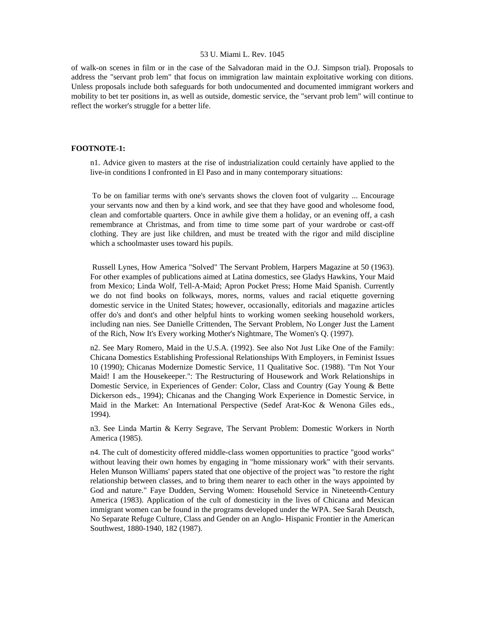of walk-on scenes in film or in the case of the Salvadoran maid in the O.J. Simpson trial). Proposals to address the "servant prob lem" that focus on immigration law maintain exploitative working con ditions. Unless proposals include both safeguards for both undocumented and documented immigrant workers and mobility to bet ter positions in, as well as outside, domestic service, the "servant prob lem" will continue to reflect the worker's struggle for a better life.

## **FOOTNOTE-1:**

n1. Advice given to masters at the rise of industrialization could certainly have applied to the live-in conditions I confronted in El Paso and in many contemporary situations:

 To be on familiar terms with one's servants shows the cloven foot of vulgarity ... Encourage your servants now and then by a kind work, and see that they have good and wholesome food, clean and comfortable quarters. Once in awhile give them a holiday, or an evening off, a cash remembrance at Christmas, and from time to time some part of your wardrobe or cast-off clothing. They are just like children, and must be treated with the rigor and mild discipline which a schoolmaster uses toward his pupils.

 Russell Lynes, How America "Solved" The Servant Problem, Harpers Magazine at 50 (1963). For other examples of publications aimed at Latina domestics, see Gladys Hawkins, Your Maid from Mexico; Linda Wolf, Tell-A-Maid; Apron Pocket Press; Home Maid Spanish. Currently we do not find books on folkways, mores, norms, values and racial etiquette governing domestic service in the United States; however, occasionally, editorials and magazine articles offer do's and dont's and other helpful hints to working women seeking household workers, including nan nies. See Danielle Crittenden, The Servant Problem, No Longer Just the Lament of the Rich, Now It's Every working Mother's Nightmare, The Women's Q. (1997).

n2. See Mary Romero, Maid in the U.S.A. (1992). See also Not Just Like One of the Family: Chicana Domestics Establishing Professional Relationships With Employers, in Feminist Issues 10 (1990); Chicanas Modernize Domestic Service, 11 Qualitative Soc. (1988). "I'm Not Your Maid! I am the Housekeeper.": The Restructuring of Housework and Work Relationships in Domestic Service, in Experiences of Gender: Color, Class and Country (Gay Young & Bette Dickerson eds., 1994); Chicanas and the Changing Work Experience in Domestic Service, in Maid in the Market: An International Perspective (Sedef Arat-Koc & Wenona Giles eds., 1994).

n3. See Linda Martin & Kerry Segrave, The Servant Problem: Domestic Workers in North America (1985).

n4. The cult of domesticity offered middle-class women opportunities to practice "good works" without leaving their own homes by engaging in "home missionary work" with their servants. Helen Munson Williams' papers stated that one objective of the project was "to restore the right relationship between classes, and to bring them nearer to each other in the ways appointed by God and nature." Faye Dudden, Serving Women: Household Service in Nineteenth-Century America (1983). Application of the cult of domesticity in the lives of Chicana and Mexican immigrant women can be found in the programs developed under the WPA. See Sarah Deutsch, No Separate Refuge Culture, Class and Gender on an Anglo- Hispanic Frontier in the American Southwest, 1880-1940, 182 (1987).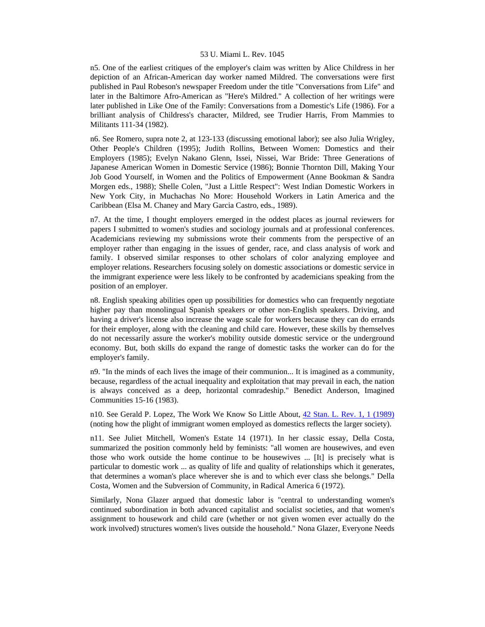n5. One of the earliest critiques of the employer's claim was written by Alice Childress in her depiction of an African-American day worker named Mildred. The conversations were first published in Paul Robeson's newspaper Freedom under the title "Conversations from Life" and later in the Baltimore Afro-American as "Here's Mildred." A collection of her writings were later published in Like One of the Family: Conversations from a Domestic's Life (1986). For a brilliant analysis of Childress's character, Mildred, see Trudier Harris, From Mammies to Militants 111-34 (1982).

n6. See Romero, supra note 2, at 123-133 (discussing emotional labor); see also Julia Wrigley, Other People's Children (1995); Judith Rollins, Between Women: Domestics and their Employers (1985); Evelyn Nakano Glenn, Issei, Nissei, War Bride: Three Generations of Japanese American Women in Domestic Service (1986); Bonnie Thornton Dill, Making Your Job Good Yourself, in Women and the Politics of Empowerment (Anne Bookman & Sandra Morgen eds., 1988); Shelle Colen, "Just a Little Respect": West Indian Domestic Workers in New York City, in Muchachas No More: Household Workers in Latin America and the Caribbean (Elsa M. Chaney and Mary Garcia Castro, eds., 1989).

n7. At the time, I thought employers emerged in the oddest places as journal reviewers for papers I submitted to women's studies and sociology journals and at professional conferences. Academicians reviewing my submissions wrote their comments from the perspective of an employer rather than engaging in the issues of gender, race, and class analysis of work and family. I observed similar responses to other scholars of color analyzing employee and employer relations. Researchers focusing solely on domestic associations or domestic service in the immigrant experience were less likely to be confronted by academicians speaking from the position of an employer.

n8. English speaking abilities open up possibilities for domestics who can frequently negotiate higher pay than monolingual Spanish speakers or other non-English speakers. Driving, and having a driver's license also increase the wage scale for workers because they can do errands for their employer, along with the cleaning and child care. However, these skills by themselves do not necessarily assure the worker's mobility outside domestic service or the underground economy. But, both skills do expand the range of domestic tasks the worker can do for the employer's family.

n9. "In the minds of each lives the image of their communion... It is imagined as a community, because, regardless of the actual inequality and exploitation that may prevail in each, the nation is always conceived as a deep, horizontal comradeship." Benedict Anderson, Imagined Communities 15-16 (1983).

n10. See Gerald P. Lopez, The Work We Know So Little About, [42 Stan. L. Rev. 1, 1 \(1989\)](http://www.lexis.com/research/xlink?searchtype=get&search=42%20Stan.%20L.%20Rev.%201) (noting how the plight of immigrant women employed as domestics reflects the larger society).

n11. See Juliet Mitchell, Women's Estate 14 (1971). In her classic essay, Della Costa, summarized the position commonly held by feminists: "all women are housewives, and even those who work outside the home continue to be housewives ... [It] is precisely what is particular to domestic work ... as quality of life and quality of relationships which it generates, that determines a woman's place wherever she is and to which ever class she belongs." Della Costa, Women and the Subversion of Community, in Radical America 6 (1972).

Similarly, Nona Glazer argued that domestic labor is "central to understanding women's continued subordination in both advanced capitalist and socialist societies, and that women's assignment to housework and child care (whether or not given women ever actually do the work involved) structures women's lives outside the household." Nona Glazer, Everyone Needs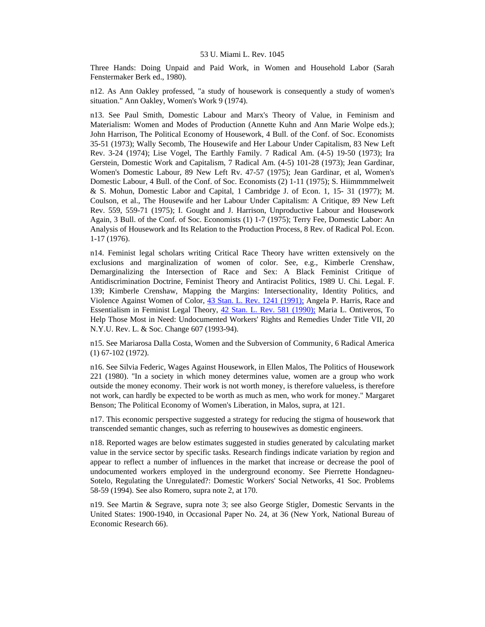Three Hands: Doing Unpaid and Paid Work, in Women and Household Labor (Sarah Fenstermaker Berk ed., 1980).

n12. As Ann Oakley professed, "a study of housework is consequently a study of women's situation." Ann Oakley, Women's Work 9 (1974).

n13. See Paul Smith, Domestic Labour and Marx's Theory of Value, in Feminism and Materialism: Women and Modes of Production (Annette Kuhn and Ann Marie Wolpe eds.); John Harrison, The Political Economy of Housework, 4 Bull. of the Conf. of Soc. Economists 35-51 (1973); Wally Secomb, The Housewife and Her Labour Under Capitalism, 83 New Left Rev. 3-24 (1974); Lise Vogel, The Earthly Family. 7 Radical Am. (4-5) 19-50 (1973); Ira Gerstein, Domestic Work and Capitalism, 7 Radical Am. (4-5) 101-28 (1973); Jean Gardinar, Women's Domestic Labour, 89 New Left Rv. 47-57 (1975); Jean Gardinar, et al, Women's Domestic Labour, 4 Bull. of the Conf. of Soc. Economists (2) 1-11 (1975); S. Hiimmmmelweit & S. Mohun, Domestic Labor and Capital, 1 Cambridge J. of Econ. 1, 15- 31 (1977); M. Coulson, et al., The Housewife and her Labour Under Capitalism: A Critique, 89 New Left Rev. 559, 559-71 (1975); I. Gought and J. Harrison, Unproductive Labour and Housework Again, 3 Bull. of the Conf. of Soc. Economists (1) 1-7 (1975); Terry Fee, Domestic Labor: An Analysis of Housework and Its Relation to the Production Process, 8 Rev. of Radical Pol. Econ. 1-17 (1976).

n14. Feminist legal scholars writing Critical Race Theory have written extensively on the exclusions and marginalization of women of color. See, e.g., Kimberle Crenshaw, Demarginalizing the Intersection of Race and Sex: A Black Feminist Critique of Antidiscrimination Doctrine, Feminist Theory and Antiracist Politics, 1989 U. Chi. Legal. F. 139; Kimberle Crenshaw, Mapping the Margins: Intersectionality, Identity Politics, and Violence Against Women of Color, [43 Stan. L. Rev. 1241 \(1991\);](http://www.lexis.com/research/xlink?searchtype=get&search=43%20Stan.%20L.%20Rev.%201241) Angela P. Harris, Race and Essentialism in Feminist Legal Theory, [42 Stan. L. Rev. 581 \(1990\);](http://www.lexis.com/research/xlink?searchtype=get&search=42%20Stan.%20L.%20Rev.%20581) Maria L. Ontiveros, To Help Those Most in Need: Undocumented Workers' Rights and Remedies Under Title VII, 20 N.Y.U. Rev. L. & Soc. Change 607 (1993-94).

n15. See Mariarosa Dalla Costa, Women and the Subversion of Community, 6 Radical America (1) 67-102 (1972).

n16. See Silvia Federic, Wages Against Housework, in Ellen Malos, The Politics of Housework 221 (1980). "In a society in which money determines value, women are a group who work outside the money economy. Their work is not worth money, is therefore valueless, is therefore not work, can hardly be expected to be worth as much as men, who work for money." Margaret Benson; The Political Economy of Women's Liberation, in Malos, supra, at 121.

n17. This economic perspective suggested a strategy for reducing the stigma of housework that transcended semantic changes, such as referring to housewives as domestic engineers.

n18. Reported wages are below estimates suggested in studies generated by calculating market value in the service sector by specific tasks. Research findings indicate variation by region and appear to reflect a number of influences in the market that increase or decrease the pool of undocumented workers employed in the underground economy. See Pierrette Hondagneu-Sotelo, Regulating the Unregulated?: Domestic Workers' Social Networks, 41 Soc. Problems 58-59 (1994). See also Romero, supra note 2, at 170.

n19. See Martin & Segrave, supra note 3; see also George Stigler, Domestic Servants in the United States: 1900-1940, in Occasional Paper No. 24, at 36 (New York, National Bureau of Economic Research 66).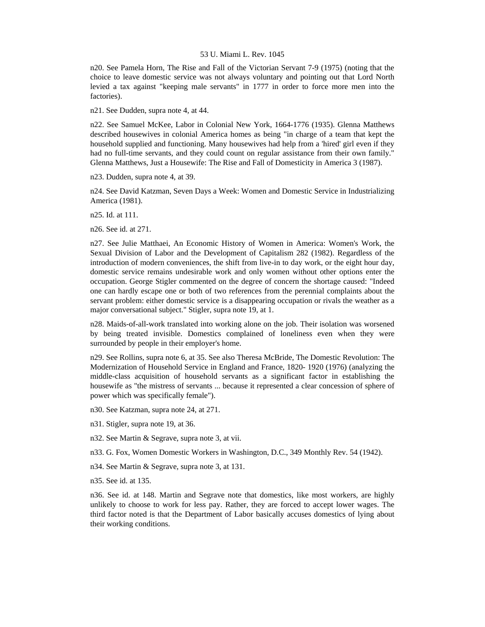n20. See Pamela Horn, The Rise and Fall of the Victorian Servant 7-9 (1975) (noting that the choice to leave domestic service was not always voluntary and pointing out that Lord North levied a tax against "keeping male servants" in 1777 in order to force more men into the factories).

n21. See Dudden, supra note 4, at 44.

n22. See Samuel McKee, Labor in Colonial New York, 1664-1776 (1935). Glenna Matthews described housewives in colonial America homes as being "in charge of a team that kept the household supplied and functioning. Many housewives had help from a 'hired' girl even if they had no full-time servants, and they could count on regular assistance from their own family." Glenna Matthews, Just a Housewife: The Rise and Fall of Domesticity in America 3 (1987).

n23. Dudden, supra note 4, at 39.

n24. See David Katzman, Seven Days a Week: Women and Domestic Service in Industrializing America (1981).

n25. Id. at 111.

n26. See id. at 271.

n27. See Julie Matthaei, An Economic History of Women in America: Women's Work, the Sexual Division of Labor and the Development of Capitalism 282 (1982). Regardless of the introduction of modern conveniences, the shift from live-in to day work, or the eight hour day, domestic service remains undesirable work and only women without other options enter the occupation. George Stigler commented on the degree of concern the shortage caused: "Indeed one can hardly escape one or both of two references from the perennial complaints about the servant problem: either domestic service is a disappearing occupation or rivals the weather as a major conversational subject." Stigler, supra note 19, at 1.

n28. Maids-of-all-work translated into working alone on the job. Their isolation was worsened by being treated invisible. Domestics complained of loneliness even when they were surrounded by people in their employer's home.

n29. See Rollins, supra note 6, at 35. See also Theresa McBride, The Domestic Revolution: The Modernization of Household Service in England and France, 1820- 1920 (1976) (analyzing the middle-class acquisition of household servants as a significant factor in establishing the housewife as "the mistress of servants ... because it represented a clear concession of sphere of power which was specifically female").

n30. See Katzman, supra note 24, at 271.

n31. Stigler, supra note 19, at 36.

n32. See Martin & Segrave, supra note 3, at vii.

n33. G. Fox, Women Domestic Workers in Washington, D.C., 349 Monthly Rev. 54 (1942).

n34. See Martin & Segrave, supra note 3, at 131.

n35. See id. at 135.

n36. See id. at 148. Martin and Segrave note that domestics, like most workers, are highly unlikely to choose to work for less pay. Rather, they are forced to accept lower wages. The third factor noted is that the Department of Labor basically accuses domestics of lying about their working conditions.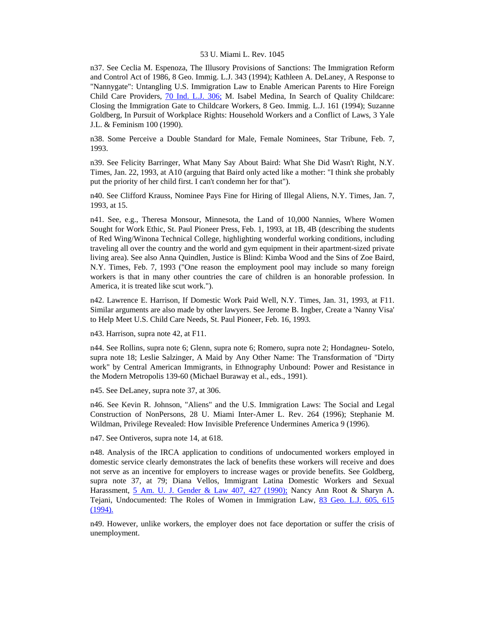n37. See Ceclia M. Espenoza, The Illusory Provisions of Sanctions: The Immigration Reform and Control Act of 1986, 8 Geo. Immig. L.J. 343 (1994); Kathleen A. DeLaney, A Response to "Nannygate": Untangling U.S. Immigration Law to Enable American Parents to Hire Foreign Child Care Providers, [70 Ind. L.J. 306;](http://www.lexis.com/research/xlink?searchtype=get&search=70%20Ind.%20L.J.%20306) M. Isabel Medina, In Search of Quality Childcare: Closing the Immigration Gate to Childcare Workers, 8 Geo. Immig. L.J. 161 (1994); Suzanne Goldberg, In Pursuit of Workplace Rights: Household Workers and a Conflict of Laws, 3 Yale J.L. & Feminism 100 (1990).

n38. Some Perceive a Double Standard for Male, Female Nominees, Star Tribune, Feb. 7, 1993.

n39. See Felicity Barringer, What Many Say About Baird: What She Did Wasn't Right, N.Y. Times, Jan. 22, 1993, at A10 (arguing that Baird only acted like a mother: "I think she probably put the priority of her child first. I can't condemn her for that").

n40. See Clifford Krauss, Nominee Pays Fine for Hiring of Illegal Aliens, N.Y. Times, Jan. 7, 1993, at 15.

n41. See, e.g., Theresa Monsour, Minnesota, the Land of 10,000 Nannies, Where Women Sought for Work Ethic, St. Paul Pioneer Press, Feb. 1, 1993, at 1B, 4B (describing the students of Red Wing/Winona Technical College, highlighting wonderful working conditions, including traveling all over the country and the world and gym equipment in their apartment-sized private living area). See also Anna Quindlen, Justice is Blind: Kimba Wood and the Sins of Zoe Baird, N.Y. Times, Feb. 7, 1993 ("One reason the employment pool may include so many foreign workers is that in many other countries the care of children is an honorable profession. In America, it is treated like scut work.").

n42. Lawrence E. Harrison, If Domestic Work Paid Well, N.Y. Times, Jan. 31, 1993, at F11. Similar arguments are also made by other lawyers. See Jerome B. Ingber, Create a 'Nanny Visa' to Help Meet U.S. Child Care Needs, St. Paul Pioneer, Feb. 16, 1993.

n43. Harrison, supra note 42, at F11.

n44. See Rollins, supra note 6; Glenn, supra note 6; Romero, supra note 2; Hondagneu- Sotelo, supra note 18; Leslie Salzinger, A Maid by Any Other Name: The Transformation of "Dirty work" by Central American Immigrants, in Ethnography Unbound: Power and Resistance in the Modern Metropolis 139-60 (Michael Buraway et al., eds., 1991).

n45. See DeLaney, supra note 37, at 306.

n46. See Kevin R. Johnson, "Aliens" and the U.S. Immigration Laws: The Social and Legal Construction of NonPersons, 28 U. Miami Inter-Amer L. Rev. 264 (1996); Stephanie M. Wildman, Privilege Revealed: How Invisible Preference Undermines America 9 (1996).

n47. See Ontiveros, supra note 14, at 618.

n48. Analysis of the IRCA application to conditions of undocumented workers employed in domestic service clearly demonstrates the lack of benefits these workers will receive and does not serve as an incentive for employers to increase wages or provide benefits. See Goldberg, supra note 37, at 79; Diana Vellos, Immigrant Latina Domestic Workers and Sexual Harassment, [5 Am. U. J. Gender & Law 407, 427 \(1990\);](http://www.lexis.com/research/xlink?searchtype=get&search=5%20Am.%20U.%20J.%20Gender%20%26%20Law%20407,at%20427) Nancy Ann Root & Sharyn A. Tejani, Undocumented: The Roles of Women in Immigration Law, [83 Geo. L.J. 605, 615](http://www.lexis.com/research/xlink?searchtype=get&search=83%20Geo.%20L.J.%20605,at%20615)  [\(1994\).](http://www.lexis.com/research/xlink?searchtype=get&search=83%20Geo.%20L.J.%20605,at%20615)

n49. However, unlike workers, the employer does not face deportation or suffer the crisis of unemployment.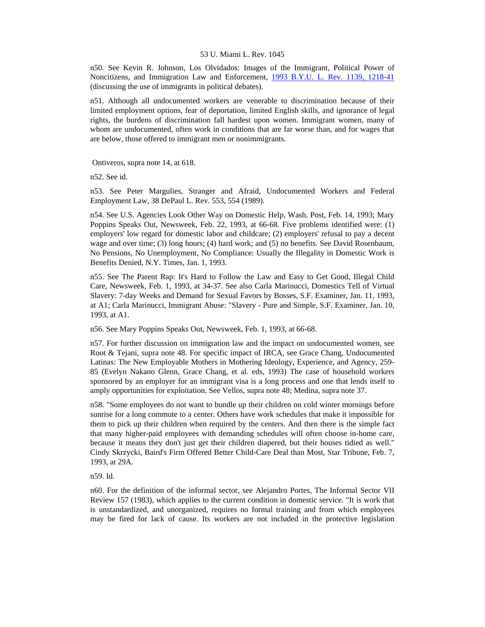n50. See Kevin R. Johnson, Los Olvidados: Images of the Immigrant, Political Power of Noncitizens, and Immigration Law and Enforcement, [1993 B.Y.U. L. Rev. 1139, 1218-41](http://www.lexis.com/research/xlink?searchtype=get&search=1993%20B.Y.U.L.%20Rev.%201139,at%201218) (discussing the use of immigrants in political debates).

n51. Although all undocumented workers are venerable to discrimination because of their limited employment options, fear of deportation, limited English skills, and ignorance of legal rights, the burdens of discrimination fall hardest upon women. Immigrant women, many of whom are undocumented, often work in conditions that are far worse than, and for wages that are below, those offered to immigrant men or nonimmigrants.

Ontiveros, supra note 14, at 618.

n52. See id.

n53. See Peter Margulies, Stranger and Afraid, Undocumented Workers and Federal Employment Law, 38 DePaul L. Rev. 553, 554 (1989).

n54. See U.S. Agencies Look Other Way on Domestic Help, Wash. Post, Feb. 14, 1993; Mary Poppins Speaks Out, Newsweek, Feb. 22, 1993, at 66-68. Five problems identified were: (1) employers' low regard for domestic labor and childcare; (2) employers' refusal to pay a decent wage and over time; (3) long hours; (4) hard work; and (5) no benefits. See David Rosenbaum, No Pensions, No Unemployment, No Compliance: Usually the Illegality in Domestic Work is Benefits Denied, N.Y. Times, Jan. 1, 1993.

n55. See The Parent Rap: It's Hard to Follow the Law and Easy to Get Good, Illegal Child Care, Newsweek, Feb. 1, 1993, at 34-37. See also Carla Marinucci, Domestics Tell of Virtual Slavery: 7-day Weeks and Demand for Sexual Favors by Bosses, S.F. Examiner, Jan. 11, 1993, at A1; Carla Marinucci, Immigrant Abuse: "Slavery - Pure and Simple, S.F. Examiner, Jan. 10, 1993, at A1.

n56. See Mary Poppins Speaks Out, Newsweek, Feb. 1, 1993, at 66-68.

n57. For further discussion on immigration law and the impact on undocumented women, see Root & Tejani, supra note 48. For specific impact of IRCA, see Grace Chang, Undocumented Latinas: The New Employable Mothers in Mothering Ideology, Experience, and Agency, 259- 85 (Evelyn Nakano Glenn, Grace Chang, et al. eds, 1993) The case of household workers sponsored by an employer for an immigrant visa is a long process and one that lends itself to amply opportunities for exploitation. See Vellos, supra note 48; Medina, supra note 37.

n58. "Some employees do not want to bundle up their children on cold winter mornings before sunrise for a long commute to a center. Others have work schedules that make it impossible for them to pick up their children when required by the centers. And then there is the simple fact that many higher-paid employees with demanding schedules will often choose in-home care, because it means they don't just get their children diapered, but their houses tidied as well." Cindy Skrzycki, Baird's Firm Offered Better Child-Care Deal than Most, Star Tribune, Feb. 7, 1993, at 29A.

n59. Id.

n60. For the definition of the informal sector, see Alejandro Portes, The Informal Sector VII Review 157 (1983), which applies to the current condition in domestic service. "It is work that is unstandardized, and unorganized, requires no formal training and from which employees may be fired for lack of cause. Its workers are not included in the protective legislation